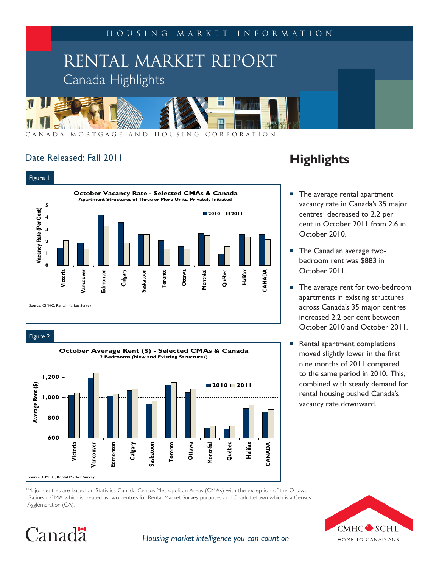

## Date Released: Fall 2011



Figure 2

Canadä



## **Highlights**

- The average rental apartment vacancy rate in Canada's 35 major centres<sup>1</sup> decreased to 2.2 per cent in October 2011 from 2.6 in October 2010.
- **The Canadian average two**bedroom rent was \$883 in October 2011.
- The average rent for two-bedroom apartments in existing structures across Canada's 35 major centres increased 2.2 per cent between October 2010 and October 2011.
- Rental apartment completions moved slightly lower in the first nine months of 2011 compared to the same period in 2010. This, combined with steady demand for rental housing pushed Canada's vacancy rate downward.

1 Major centres are based on Statistics Canada Census Metropolitan Areas (CMAs) with the exception of the Ottawa- Gatineau CMA which is treated as two centres for Rental Market Survey purposes and Charlottetown which is a Census Agglomeration (CA).



## *Housing market intelligence you can count on*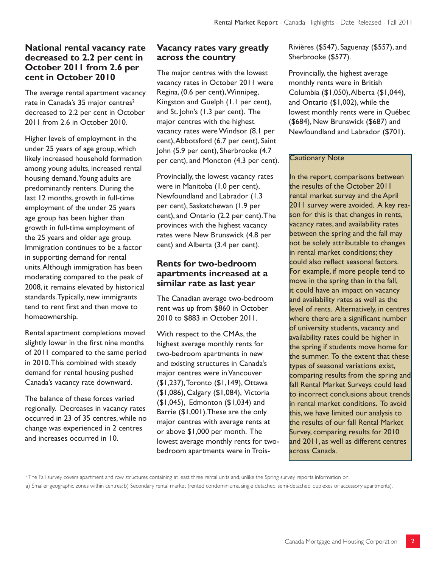## **National rental vacancy rate decreased to 2.2 per cent in October 2011 from 2.6 per cent in October 2010**

The average rental apartment vacancy rate in Canada's 35 major centres<sup>2</sup> decreased to 2.2 per cent in October 2011 from 2.6 in October 2010.

Higher levels of employment in the under 25 years of age group, which likely increased household formation among young adults, increased rental housing demand. Young adults are predominantly renters. During the last 12 months, growth in full-time employment of the under 25 years age group has been higher than growth in full-time employment of the 25 years and older age group. Immigration continues to be a factor in supporting demand for rental units. Although immigration has been moderating compared to the peak of 2008, it remains elevated by historical standards. Typically, new immigrants tend to rent first and then move to homeownership.

Rental apartment completions moved slightly lower in the first nine months of 2011 compared to the same period in 2010. This combined with steady demand for rental housing pushed Canada's vacancy rate downward.

The balance of these forces varied regionally. Decreases in vacancy rates occurred in 23 of 35 centres, while no change was experienced in 2 centres and increases occurred in 10.

## **Vacancy rates vary greatly across the country**

The major centres with the lowest vacancy rates in October 2011 were Regina, (0.6 per cent), Winnipeg, Kingston and Guelph (1.1 per cent), and St. John's (1.3 per cent). The major centres with the highest vacancy rates were Windsor (8.1 per cent), Abbotsford (6.7 per cent), Saint John (5.9 per cent), Sherbrooke (4.7 per cent), and Moncton (4.3 per cent).

Provincially, the lowest vacancy rates were in Manitoba (1.0 per cent), Newfoundland and Labrador (1.3 per cent), Saskatchewan (1.9 per cent), and Ontario (2.2 per cent). The provinces with the highest vacancy rates were New Brunswick (4.8 per cent) and Alberta (3.4 per cent).

## **Rents for two-bedroom apartments increased at a similar rate as last year**

The Canadian average two-bedroom rent was up from \$860 in October 2010 to \$883 in October 2011.

With respect to the CMAs, the highest average monthly rents for two-bedroom apartments in new and existing structures in Canada's major centres were in Vancouver (\$1,237), Toronto (\$1,149), Ottawa (\$1,086), Calgary (\$1,084), Victoria (\$1,045), Edmonton (\$1,034) and Barrie (\$1,001).These are the only major centres with average rents at or above \$1,000 per month. The lowest average monthly rents for twobedroom apartments were in TroisRivières (\$547), Saguenay (\$557), and Sherbrooke (\$577).

Provincially, the highest average monthly rents were in British Columbia (\$1,050), Alberta (\$1,044), and Ontario (\$1,002), while the lowest monthly rents were in Québec (\$684), New Brunswick (\$687) and Newfoundland and Labrador (\$701).

#### Cautionary Note

In the report, comparisons between the results of the October 2011 rental market survey and the April 2011 survey were avoided. A key reason for this is that changes in rents, vacancy rates, and availability rates between the spring and the fall may not be solely attributable to changes in rental market conditions; they could also reflect seasonal factors. For example, if more people tend to move in the spring than in the fall, it could have an impact on vacancy and availability rates as well as the level of rents. Alternatively, in centres where there are a significant number of university students, vacancy and availability rates could be higher in the spring if students move home for the summer. To the extent that these types of seasonal variations exist, comparing results from the spring and fall Rental Market Surveys could lead to incorrect conclusions about trends in rental market conditions. To avoid this, we have limited our analysis to the results of our fall Rental Market Survey, comparing results for 2010 and 2011, as well as different centres across Canada.

 $^{2}$ The Fall survey covers apartment and row structures containing at least three rental units and, unlike the Spring survey, reports information on:

a) Smaller geographic zones within centres; b) Secondary rental market (rented condominiums, single detached, semi-detached, duplexes or accessory apartments).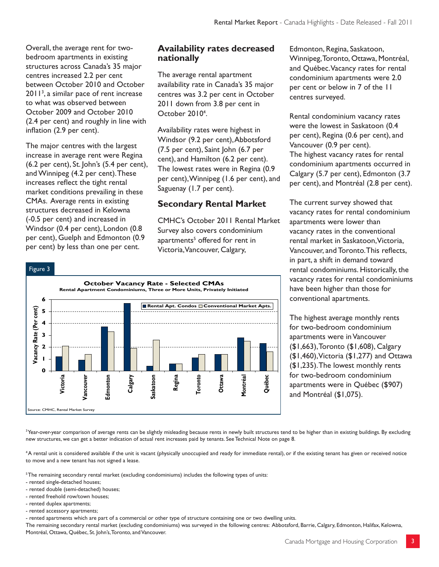Overall, the average rent for twobedroom apartments in existing structures across Canada's 35 major centres increased 2.2 per cent between October 2010 and October 2011<sup>3</sup>, a similar pace of rent increase to what was observed between October 2009 and October 2010 (2.4 per cent) and roughly in line with inflation (2.9 per cent).

The major centres with the largest increase in average rent were Regina (6.2 per cent), St. John's (5.4 per cent), and Winnipeg (4.2 per cent). These increases reflect the tight rental market conditions prevailing in these CMAs. Average rents in existing structures decreased in Kelowna (-0.5 per cent) and increased in Windsor (0.4 per cent), London (0.8 per cent), Guelph and Edmonton (0.9 per cent) by less than one per cent.

## **Availability rates decreased nationally**

The average rental apartment availability rate in Canada's 35 major centres was 3.2 per cent in October 2011 down from 3.8 per cent in October 2010<sup>4</sup>.

Availability rates were highest in Windsor (9.2 per cent), Abbotsford (7.5 per cent), Saint John (6.7 per cent), and Hamilton (6.2 per cent). The lowest rates were in Regina (0.9 per cent), Winnipeg (1.6 per cent), and Saguenay (1.7 per cent).

## **Secondary Rental Market**

CMHC's October 2011 Rental Market Survey also covers condominium apartments<sup>5</sup> offered for rent in Victoria, Vancouver, Calgary,



Edmonton, Regina, Saskatoon, Winnipeg, Toronto, Ottawa, Montréal, and Québec. Vacancy rates for rental condominium apartments were 2.0 per cent or below in 7 of the 11 centres surveyed.

Rental condominium vacancy rates were the lowest in Saskatoon (0.4 per cent), Regina (0.6 per cent), and Vancouver (0.9 per cent). The highest vacancy rates for rental condominium apartments occurred in Calgary (5.7 per cent), Edmonton (3.7 per cent), and Montréal (2.8 per cent).

The current survey showed that vacancy rates for rental condominium apartments were lower than vacancy rates in the conventional rental market in Saskatoon, Victoria, Vancouver, and Toronto. This reflects, in part, a shift in demand toward rental condominiums. Historically, the vacancy rates for rental condominiums have been higher than those for conventional apartments.

The highest average monthly rents for two-bedroom condominium apartments were in Vancouver (\$1,663), Toronto (\$1,608), Calgary (\$1,460), Victoria (\$1,277) and Ottawa (\$1,235). The lowest monthly rents for two-bedroom condominium apartments were in Québec (\$907) and Montréal (\$1,075).

<sup>3</sup> Year-over-year comparison of average rents can be slightly misleading because rents in newly built structures tend to be higher than in existing buildings. By excluding new structures, we can get a better indication of actual rent increases paid by tenants. See Technical Note on page 8.

4 A rental unit is considered available if the unit is vacant (physically unoccupied and ready for immediate rental), or if the existing tenant has given or received notice to move and a new tenant has not signed a lease.

5 The remaining secondary rental market (excluding condominiums) includes the following types of units:

- rented single-detached houses;
- rented double (semi-detached) houses;
- rented freehold row/town houses;
- rented duplex apartments;
- rented accessory apartments;

- rented apartments which are part of a commercial or other type of structure containing one or two dwelling units.

The remaining secondary rental market (excluding condominiums) was surveyed in the following centres: Abbotsford, Barrie, Calgary, Edmonton, Halifax, Kelowna, Montréal, Ottawa, Québec, St. John's, Toronto, and Vancouver.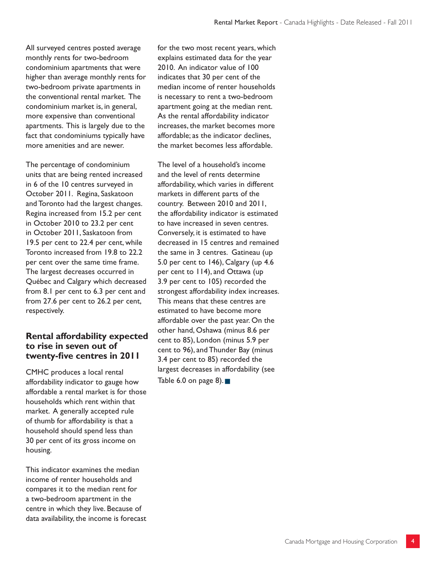All surveyed centres posted average monthly rents for two-bedroom condominium apartments that were higher than average monthly rents for two-bedroom private apartments in the conventional rental market. The condominium market is, in general, more expensive than conventional apartments. This is largely due to the fact that condominiums typically have more amenities and are newer.

The percentage of condominium units that are being rented increased in 6 of the 10 centres surveyed in October 2011. Regina, Saskatoon and Toronto had the largest changes. Regina increased from 15.2 per cent in October 2010 to 23.2 per cent in October 2011, Saskatoon from 19.5 per cent to 22.4 per cent, while Toronto increased from 19.8 to 22.2 per cent over the same time frame. The largest decreases occurred in Québec and Calgary which decreased from 8.1 per cent to 6.3 per cent and from 27.6 per cent to 26.2 per cent, respectively.

### **Rental affordability expected to rise in seven out of twenty-five centres in 2011**

CMHC produces a local rental affordability indicator to gauge how affordable a rental market is for those households which rent within that market. A generally accepted rule of thumb for affordability is that a household should spend less than 30 per cent of its gross income on housing.

This indicator examines the median income of renter households and compares it to the median rent for a two-bedroom apartment in the centre in which they live. Because of data availability, the income is forecast for the two most recent years, which explains estimated data for the year 2010. An indicator value of 100 indicates that 30 per cent of the median income of renter households is necessary to rent a two-bedroom apartment going at the median rent. As the rental affordability indicator increases, the market becomes more affordable; as the indicator declines, the market becomes less affordable.

The level of a household's income and the level of rents determine affordability, which varies in different markets in different parts of the country. Between 2010 and 2011, the affordability indicator is estimated to have increased in seven centres. Conversely, it is estimated to have decreased in 15 centres and remained the same in 3 centres. Gatineau (up 5.0 per cent to 146), Calgary (up 4.6 per cent to 114), and Ottawa (up 3.9 per cent to 105) recorded the strongest affordability index increases. This means that these centres are estimated to have become more affordable over the past year. On the other hand, Oshawa (minus 8.6 per cent to 85), London (minus 5.9 per cent to 96), and Thunder Bay (minus 3.4 per cent to 85) recorded the largest decreases in affordability (see

Table 6.0 on page 8).  $\blacksquare$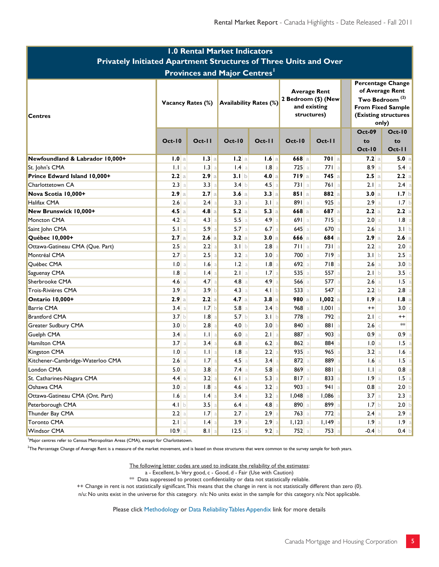| <b>1.0 Rental Market Indicators</b>                              |                          |                  |                  |                               |                    |                                                                           |                  |                                                                                                                                        |  |  |
|------------------------------------------------------------------|--------------------------|------------------|------------------|-------------------------------|--------------------|---------------------------------------------------------------------------|------------------|----------------------------------------------------------------------------------------------------------------------------------------|--|--|
| Privately Initiated Apartment Structures of Three Units and Over |                          |                  |                  |                               |                    |                                                                           |                  |                                                                                                                                        |  |  |
| <b>Provinces and Major Centres'</b>                              |                          |                  |                  |                               |                    |                                                                           |                  |                                                                                                                                        |  |  |
| <b>Centres</b>                                                   | <b>Vacancy Rates (%)</b> |                  |                  | <b>Availability Rates (%)</b> |                    | <b>Average Rent</b><br>2 Bedroom (\$) (New<br>and existing<br>structures) |                  | <b>Percentage Change</b><br>of Average Rent<br>Two Bedroom <sup>(2)</sup><br><b>From Fixed Sample</b><br>(Existing structures<br>only) |  |  |
|                                                                  | <b>Oct-10</b>            | Oct-11           | <b>Oct-10</b>    | $Oct-II$                      | <b>Oct-10</b>      | Oct-11                                                                    | <b>Oct-09</b>    | $Oct-10$                                                                                                                               |  |  |
|                                                                  |                          |                  |                  |                               |                    |                                                                           | to<br>$Oct-10$   | to<br>Oct-11                                                                                                                           |  |  |
| Newfoundland & Labrador 10,000+                                  | 1.0 a                    | 1.3 a            | 1.2a             | 1.6a                          | 668a               | $701$ a                                                                   | 7.2a             | 5.0 a                                                                                                                                  |  |  |
| St. John's CMA                                                   | $1.1$ a                  | 1.3<br>a         | $1.4$ a          | $1.8$ a                       | $725$ a            | 771a                                                                      | 8.9a             | $5.4$ a                                                                                                                                |  |  |
| Prince Edward Island 10,000+                                     | 2.2a                     | 2.9a             | 3.1 <sub>b</sub> | 4.0 a                         | 719a               | $745$ a                                                                   | 2.5a             | 2.2 a                                                                                                                                  |  |  |
| Charlottetown CA                                                 | 2.3 a                    | 3.3<br>a         | 3.4 b            | 4.5a                          | $731$ a            | 761a                                                                      | 2.1 a            | $2.4$ a                                                                                                                                |  |  |
| Nova Scotia 10,000+                                              | 2.9a                     | 2.7a             | 3.6a             | 3.3 a                         | $851$   a          | 882a                                                                      | 3.0 a            | 1.7 b                                                                                                                                  |  |  |
| Halifax CMA                                                      | 2.6a                     | 2.4<br>a         | 3.3 a            | 3.1 a                         | 891a               | 925                                                                       | 2.9a             | 1.7 b                                                                                                                                  |  |  |
| New Brunswick 10,000+                                            | 4.5a                     | 4.8 a            | 5.2 a            | 5.3 a                         | $668$ a            | 687 a                                                                     | 2.2 a            | 2.2 a                                                                                                                                  |  |  |
| Moncton CMA                                                      | 4.2 a                    | 4.3<br>a         | 5.5a             | 4.9a                          | 691a               | 715                                                                       | 2.0 a            | $1.8$ a                                                                                                                                |  |  |
| Saint John CMA                                                   | 5.1 a                    | 5.9              | 5.7a             | $6.7$ a                       | $645$ a            | 670                                                                       | 2.6 a            | 3.1 b                                                                                                                                  |  |  |
| Québec 10,000+                                                   | 2.7a                     | 2.6a             | 3.2 a            | 3.0 a                         | $666$ a            | 684a                                                                      | 2.9a             | 2.6 a                                                                                                                                  |  |  |
| Ottawa-Gatineau CMA (Que. Part)                                  | 2.5a                     | 2.2              | 3.1 b            | 2.8a                          | 711a               | 731a                                                                      | 2.2 a            | 2.0 a                                                                                                                                  |  |  |
| Montréal CMA                                                     | 2.7a                     | 2.5<br>a         | 3.2 a            | 3.0 a                         | 700 a              | 719                                                                       | 3.1 b            | $2.5$ a                                                                                                                                |  |  |
| Québec CMA                                                       | 1.0 a                    | 1.6              | $1.2$ a          | 1.8<br>a                      | $692$ a            | 718                                                                       | 2.6a             | 3.0 b                                                                                                                                  |  |  |
| Saguenay CMA                                                     | $1.8$ a                  | .4 <br>a         | $2.1$   a        | 1.7 <sub>a</sub>              | 535a               | 557                                                                       | 2.1 b            | $3.5$ c                                                                                                                                |  |  |
| Sherbrooke CMA                                                   | 4.6 <sub>a</sub>         | 4.7 <sub>a</sub> | $4.8$ a          | 4.9a                          | $566$ a            | 577                                                                       | $2.6$ a          | $1.5$ a                                                                                                                                |  |  |
| Trois-Rivières CMA                                               | 3.9a                     | 3.9 <sub>b</sub> | 4.3 a            | 4.1 b                         | 533a               | 547                                                                       | 2.2 b            | $2.8$ a                                                                                                                                |  |  |
| Ontario 10,000+                                                  | 2.9a                     | 2.2a             | 4.7a             | 3.8a                          | 980a               | $1,002$ a                                                                 | 1.9a             | $1.8$ a                                                                                                                                |  |  |
| Barrie CMA                                                       | 3.4 a                    | 1.7 <sub>b</sub> | $5.8$ a          | 3.4 b                         | $968$ a            | 1,001                                                                     | $^{++}$          | $3.0$ c                                                                                                                                |  |  |
| Brantford CMA                                                    | 3.7 <sub>b</sub>         | 1.8              | 5.7 b            | 3.1 b                         | 778 a              | 792                                                                       | $2.1$ c          | $++$                                                                                                                                   |  |  |
| Greater Sudbury CMA                                              | 3.0 <sub>b</sub>         | 2.8              | 4.0 b            | 3.0 <sub>b</sub>              | 840 a              | 881                                                                       | 2.6 c            | $**$                                                                                                                                   |  |  |
| Guelph CMA                                                       | 3.4a                     | $  \cdot  $<br>a | 6.0 a            | $2.1$ a                       | 887 a              | 903                                                                       | 0.9 <sub>a</sub> | $0.9$ a                                                                                                                                |  |  |
| Hamilton CMA                                                     | 3.7 <sub>a</sub>         | 3.4<br>a         | $6.8$ a          | $6.2$ a                       | $862$ a            | 884                                                                       | 1.0 a            | $1.5$ a                                                                                                                                |  |  |
| Kingston CMA                                                     | 1.0 <sub>a</sub>         | $\mathbf{L}$ a   | $1.8$ a          | 2.2a                          | $935$ <sup>a</sup> | 965                                                                       | 3.2 a            | $1.6$ a                                                                                                                                |  |  |
| Kitchener-Cambridge-Waterloo CMA                                 | 2.6a                     | 1.7a             | $4.5$ a          | 3.4 a                         | 872a               | 889                                                                       | 1.6a             | $1.5$ a                                                                                                                                |  |  |
| London CMA                                                       | 5.0 a                    | $3.8$ a          | $7.4$ a          | $5.8$ a                       | 869a               | 881 a                                                                     | 1.1 a            | $0.8$ a                                                                                                                                |  |  |
| St. Catharines-Niagara CMA                                       | 4.4 a                    | 3.2              | $6.1$ a          | $5.3$ a                       | $817$ a            | $833$ a                                                                   | 1.9a             | $1.5$ a                                                                                                                                |  |  |
| Oshawa CMA                                                       | 3.0 a                    | 1.8              | $4.6$ a          | 3.2 a                         | $903$ a            | $941$ a                                                                   | $0.8$ a          | 2.0 b                                                                                                                                  |  |  |
| Ottawa-Gatineau CMA (Ont. Part)                                  | $1.6$ a                  | $1.4$ a          | 3.4 a            | 3.2 a                         | $1,048$ a          | $1,086$ a                                                                 | 3.7 a            | 2.3 a                                                                                                                                  |  |  |
| Peterborough CMA                                                 | 4.1 b                    | $3.5$ a          | $6.4$ a          | $4.8$ a                       | 890 a              | $899$ a                                                                   | 1.7 b            | 2.0 b                                                                                                                                  |  |  |
| Thunder Bay CMA                                                  | 2.2 a                    | $1.7$ a          | $2.7$ a          | 2.9a                          | $763$ a            | $772$ a                                                                   | $2.4$ a          | $2.9$ a                                                                                                                                |  |  |
| Toronto CMA                                                      | 2.1 a                    | $1.4$ a          | 3.9a             | $2.9$ a                       | $1,123$ a          | $I, I49$ a                                                                | 1.9a             | 1.9a                                                                                                                                   |  |  |
| Windsor CMA                                                      | $10.9$   a               | $8.1$ a          | $12.5$ a         | 9.2 a                         | $752$ a            | 753                                                                       | $-0.4$ b         | $0.4$ b                                                                                                                                |  |  |

<sup>1</sup>Major centres refer to Census Metropolitan Areas (CMA), except for Charlottetown.

<sup>2</sup>The Percentage Change of Average Rent is a measure of the market movement, and is based on those structures that were common to the survey sample for both years.

The following letter codes are used to indicate the reliability of the estimates:

a - Excellent, b-Very good, c - Good, d - Fair (Use with Caution)

 $**$  Data suppressed to protect confidentiality or data not statistically reliable.

++ Change in rent is not statistically significant. This means that the change in rent is not statistically different than zero (0).

n/u: No units exist in the universe for this category. n/s: No units exist in the sample for this category. n/a: Not applicable.

Please click Methodology or Data Reliability Tables Appendix link for more details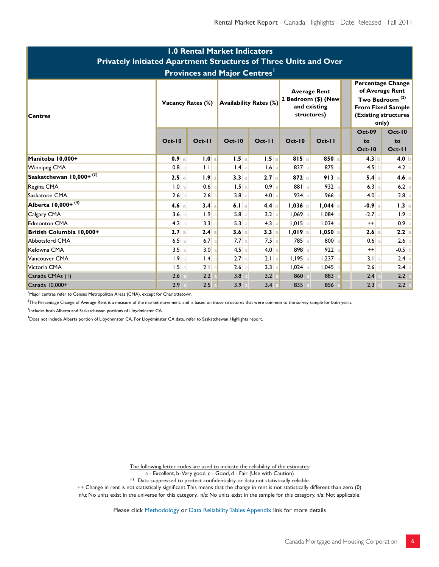| <b>1.0 Rental Market Indicators</b><br><b>Privately Initiated Apartment Structures of Three Units and Over</b><br><b>Provinces and Major Centres'</b> |           |                                                    |          |         |                      |                                                                           |                                      |                                                                                                                                        |  |  |
|-------------------------------------------------------------------------------------------------------------------------------------------------------|-----------|----------------------------------------------------|----------|---------|----------------------|---------------------------------------------------------------------------|--------------------------------------|----------------------------------------------------------------------------------------------------------------------------------------|--|--|
| <b>Centres</b>                                                                                                                                        |           | <b>Availability Rates (%)</b><br>Vacancy Rates (%) |          |         |                      | <b>Average Rent</b><br>2 Bedroom (\$) (New<br>and existing<br>structures) |                                      | <b>Percentage Change</b><br>of Average Rent<br>Two Bedroom <sup>(2)</sup><br><b>From Fixed Sample</b><br>(Existing structures<br>only) |  |  |
|                                                                                                                                                       | $Oct-10$  | $Oct-II$                                           | $Oct-10$ | $Oct-I$ | $Oct-10$             | $Oct-II$                                                                  | <b>Oct-09</b><br>to<br><b>Oct-10</b> | $Oct-10$<br>to<br>Oct-11                                                                                                               |  |  |
| Manitoba 10,000+                                                                                                                                      | 0.9a      | 1.0 a                                              | 1.5a     | $1.5$ a | 815a                 | $850$ a                                                                   | 4.3 b                                | $4.0$ b                                                                                                                                |  |  |
| Winnipeg CMA                                                                                                                                          | $0.8$ a   | 1.1 a                                              | $1.4$ a  | $1.6$ a | 837 a                | 875a                                                                      | $4.5$ b                              | $4.2$ b                                                                                                                                |  |  |
| Saskatchewan 10,000+ <sup>(3)</sup>                                                                                                                   | 2.5a      | 1.9a                                               | 3.3a     | $2.7$ a | $872$ a              | 913a                                                                      | 5.4 a                                | $4.6$ a                                                                                                                                |  |  |
| Regina CMA                                                                                                                                            | 1.0 a     | 0.6<br>$\overline{a}$                              | $1.5$ a  | $0.9$ a | 881 a                | 932a                                                                      | 6.3 a                                | $6.2$ a                                                                                                                                |  |  |
| Saskatoon CMA                                                                                                                                         | 2.6a      | 2.6a                                               | 3.8a     | 4.0 a   | 934a                 | $966$ a                                                                   | 4.0 a                                | $2.8$ a                                                                                                                                |  |  |
| Alberta 10,000+ <sup>(4)</sup>                                                                                                                        | 4.6a      | 3.4a                                               | 6.1 a    | $4.4$ a | $1,036$ a            | $1,044$ a                                                                 | $-0.9$ a                             | 1.3 a                                                                                                                                  |  |  |
| Calgary CMA                                                                                                                                           | 3.6 a     | 1.9<br>a                                           | 5.8a     | 3.2 a   | $1,069$ a            | $1,084$ a                                                                 | $-2.7a$                              | $1.9$ a                                                                                                                                |  |  |
| <b>Edmonton CMA</b>                                                                                                                                   | 4.2 a     | 3.3<br>a                                           | 5.3 a    | 4.3 a   | $1,015$ a            | $1,034$ a                                                                 | $^{++}$                              | $0.9$ a                                                                                                                                |  |  |
| British Columbia 10,000+                                                                                                                              | 2.7a      | 2.4a                                               | 3.6a     | 3.3 a   | 1,019a               | $1,050$ a                                                                 | 2.6a                                 | 2.2 a                                                                                                                                  |  |  |
| <b>Abbotsford CMA</b>                                                                                                                                 | 6.5a      | $6.7$ a                                            | $7.7$ a  | $7.5$ a | 785 a                | 800 a                                                                     | 0.6 a                                | 2.6 a                                                                                                                                  |  |  |
| Kelowna CMA                                                                                                                                           | 3.5a      | 3.0                                                | $4.5$ a  | 4.0 a   | 898 a                | 922a                                                                      | $^{++}$                              | $-0.5$ b                                                                                                                               |  |  |
| Vancouver CMA                                                                                                                                         | 1.9a      | .4 <br>a                                           | 2.7a     | $2.1$ a | $1,195$ <sup>a</sup> | $1,237$ a                                                                 | 3.1 a                                | $2.4$ a                                                                                                                                |  |  |
| Victoria CMA                                                                                                                                          | $1.5$   a | 2.1 a                                              | $2.6$ a  | 3.3 a   | $1,024$ a            | $1,045$ a                                                                 | 2.6 a                                | $2.4$ a                                                                                                                                |  |  |
| Canada CMAs (1)                                                                                                                                       | 2.6       | 2.2                                                | 3.8      | 3.2     | 860                  | 883                                                                       | 2.4                                  | 2.2                                                                                                                                    |  |  |
| Canada 10,000+                                                                                                                                        | 2.9       | 2.5                                                | 3.9      | 3.4     | 835                  | 856                                                                       | 2.3                                  | 2.2                                                                                                                                    |  |  |

'Major centres refer to Census Metropolitan Areas (CMA), except for Charlottetown.

<sup>2</sup>The Percentage Change of Average Rent is a measure of the market movement, and is based on those structures that were common to the survey sample for both years.

 $3$ Includes both Alberta and Saskatchewan portions of Lloydminster CA.

<sup>4</sup>Does not include Alberta portion of Lloydminster CA. For Lloydminster CA data, refer to Saskatchewan Highlights report.

The following letter codes are used to indicate the reliability of the estimates:

a - Excellent, b- Very good, c - Good, d - Fair (Use with Caution)

\*\* Data suppressed to protect confidentiality or data not statistically reliable.

++ Change in rent is not statistically significant. This means that the change in rent is not statistically different than zero (0).

n/u: No units exist in the universe for this category. n/s: No units exist in the sample for this category. n/a: Not applicable.

Please click Methodology or Data Reliability Tables Appendix link for more details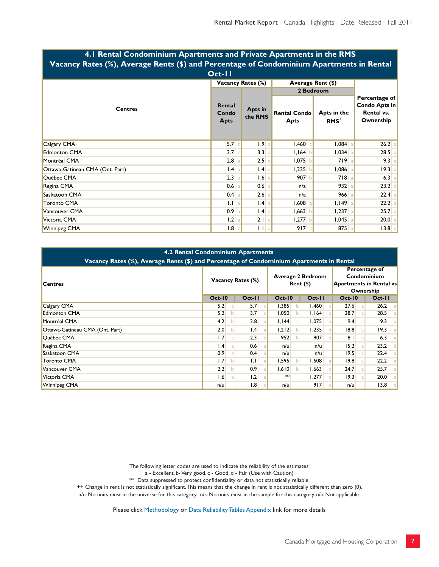| <b>THE INCHEAP CONGOINMENT Apartments and I made Apartments in the INTS</b><br>Vacancy Rates (%), Average Rents (\$) and Percentage of Condominium Apartments in Rental<br>$Oct-I$ |                                |                          |                                                                |              |                                                                  |  |  |  |  |  |
|------------------------------------------------------------------------------------------------------------------------------------------------------------------------------------|--------------------------------|--------------------------|----------------------------------------------------------------|--------------|------------------------------------------------------------------|--|--|--|--|--|
|                                                                                                                                                                                    |                                | <b>Vacancy Rates (%)</b> | Average Rent (\$)                                              |              |                                                                  |  |  |  |  |  |
|                                                                                                                                                                                    |                                |                          | 2 Bedroom                                                      |              |                                                                  |  |  |  |  |  |
| <b>Centres</b>                                                                                                                                                                     | Rental<br>Condo<br><b>Apts</b> | Apts in<br>the RMS       | Apts in the<br><b>Rental Condo</b><br>RMS <sup>'</sup><br>Apts |              | Percentage of<br><b>Condo Apts in</b><br>Rental vs.<br>Ownership |  |  |  |  |  |
| Calgary CMA                                                                                                                                                                        | $5.7$ $\subset$                | 1.9 <sub>a</sub>         | 1,460                                                          | $1,084$ a    | $26.2$ a                                                         |  |  |  |  |  |
| <b>Edmonton CMA</b>                                                                                                                                                                | 3.7                            | 3.3 a                    | I, I64                                                         | $1,034$ all  | $28.5$ a                                                         |  |  |  |  |  |
| Montréal CMA                                                                                                                                                                       | $2.8$ a                        | 2.5                      | $1,075$ b                                                      | 719a         | 9.3 a                                                            |  |  |  |  |  |
| Ottawa-Gatineau CMA (Ont. Part)                                                                                                                                                    | $1.4$ a                        | $1.4$ a                  | 1,235                                                          | $1,086$ a    | 19.3 a                                                           |  |  |  |  |  |
| Québec CMA                                                                                                                                                                         | 2.3                            | 1.6                      | 907 b                                                          | 718a         | 6.3 a                                                            |  |  |  |  |  |
| Regina CMA                                                                                                                                                                         | $0.6$ a                        | $0.6$ a                  | n/a                                                            | 932 a        | $23.2$ d                                                         |  |  |  |  |  |
| Saskatoon CMA                                                                                                                                                                      | $0.4$ a                        | $2.6$ a                  | n/a                                                            | $966$ a      | $22.4$ a                                                         |  |  |  |  |  |
| Toronto CMA                                                                                                                                                                        | 1.1 a                          | .4                       | $1,608$ a                                                      | $I, I49$ all | $22.2$ a                                                         |  |  |  |  |  |
| Vancouver CMA                                                                                                                                                                      | $0.9$ a                        | $1.4$ a                  | 1,663                                                          | $1,237$ all  | $25.7$ a                                                         |  |  |  |  |  |
| Victoria CMA                                                                                                                                                                       | 1.2 a                          | 2.1 a                    | $1,277$ b                                                      | $1,045$ a    | $20.0$ a                                                         |  |  |  |  |  |
| <b>Winnipeg CMA</b>                                                                                                                                                                | 1.8                            | 1.1 a                    | 917                                                            | $875$ a      | 13.8                                                             |  |  |  |  |  |

# **4.1 Rental Condominium Apartments and Private Apartments in the RMS**

| <b>4.2 Rental Condominium Apartments</b><br>Vacancy Rates (%), Average Rents (\$) and Percentage of Condominium Apartments in Rental |                   |   |                  |  |                                         |              |         |  |                                                                             |            |  |
|--------------------------------------------------------------------------------------------------------------------------------------|-------------------|---|------------------|--|-----------------------------------------|--------------|---------|--|-----------------------------------------------------------------------------|------------|--|
| <b>Centres</b>                                                                                                                       | Vacancy Rates (%) |   |                  |  | <b>Average 2 Bedroom</b><br>$Rent$ (\$) |              |         |  | Percentage of<br>Condominium<br><b>Apartments in Rental vs</b><br>Ownership |            |  |
|                                                                                                                                      | <b>Oct-10</b>     |   | $Oct-II$         |  | $Oct-10$                                |              | $Oct-I$ |  | $Oct-10$                                                                    | $Oct-I$    |  |
| Calgary CMA                                                                                                                          | 5.2               |   | 5.7              |  | 1,385                                   | $\mathsf{b}$ | 1,460   |  | 27.6<br>a.                                                                  | 26.2<br>a. |  |
| <b>Edmonton CMA</b>                                                                                                                  | 5.2               | b | 3.7              |  | 1,050                                   | b.           | 1,164   |  | 28.7<br>a                                                                   | 28.5       |  |
| Montréal CMA                                                                                                                         | 4.2               | h | 2.8              |  | 1,144                                   |              | 1,075   |  | 9.4<br>a                                                                    | 9.3        |  |
| Ottawa-Gatineau CMA (Ont. Part)                                                                                                      | 2.0               | b | 1.4              |  | 1,212                                   | b            | 1,235   |  | 8.8 <br>a.                                                                  | 19.3       |  |
| Québec CMA                                                                                                                           | 1.7               | a | 2.3              |  | 952                                     | $\mathbf{b}$ | 907     |  | 8.1<br>a                                                                    | 6.3        |  |
| Regina CMA                                                                                                                           | .4                | a | 0.6              |  | n/u                                     |              | n/u     |  | 15.2<br>a <sub>l</sub>                                                      | 23.2       |  |
| Saskatoon CMA                                                                                                                        | 0.9 <sub>1</sub>  | a | 0.4              |  | n/u                                     |              | n/u     |  | 19.5<br>a                                                                   | 22.4       |  |
| <b>Toronto CMA</b>                                                                                                                   | 1.7               | b | 1.1              |  | 1,595                                   | $\mathbf{b}$ | 1,608   |  | 9.8 <br>a                                                                   | 22.2       |  |
| Vancouver CMA                                                                                                                        | 2.2               | b | 0.9              |  | 1,610                                   | b            | 1,663   |  | 24.7<br>a                                                                   | 25.7<br>a  |  |
| Victoria CMA                                                                                                                         | .6                | a | $\vert .2 \vert$ |  | $**$                                    |              | 1,277   |  | 19.3<br>a                                                                   | 20.0       |  |
| Winnipeg CMA                                                                                                                         | n/u               |   | 1.8              |  | n/u                                     |              | 917     |  | n/u                                                                         | 3.8        |  |

The following letter codes are used to indicate the reliability of the estimates:

a - Excellent, b- Very good, c - Good, d - Fair (Use with Caution)

 $**$  Data suppressed to protect confidentiality or data not statistically reliable.

++ Change in rent is not statistically significant. This means that the change in rent is not statistically different than zero (0).

n/u: No units exist in the universe for this category. n/s: No units exist in the sample for this category. n/a: Not applicable.

Please click [Methodology](http://www.cmhc.ca/en/hoficlincl/homain/stda/suretaanme/suretaanme_002.cfm) or [Data Reliability Tables Appendix](http://www.cmhc.ca/en/hoficlincl/homain/stda/suretaanme/suretaanme_001.cfm) link for more details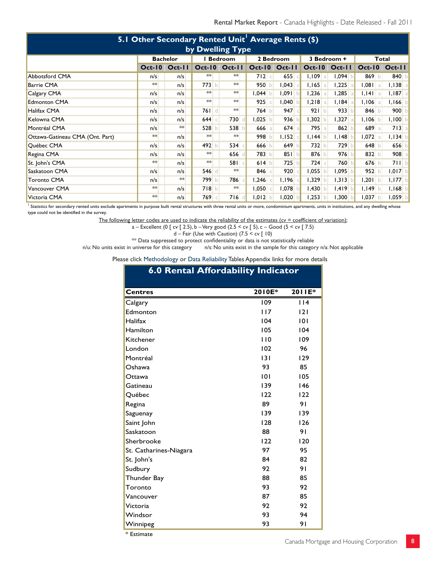| 5.1 Other Secondary Rented Unit <sup>1</sup> Average Rents (\$) |                 |                   |                |               |  |           |                  |             |                      |            |            |
|-----------------------------------------------------------------|-----------------|-------------------|----------------|---------------|--|-----------|------------------|-------------|----------------------|------------|------------|
| by Dwelling Type                                                |                 |                   |                |               |  |           |                  |             |                      |            |            |
|                                                                 | <b>Bachelor</b> |                   | <b>Bedroom</b> |               |  | 2 Bedroom |                  | 3 Bedroom + | Total                |            |            |
|                                                                 |                 | $Oct-10$ $Oct-11$ |                | Oct-10 Oct-11 |  |           | Oct-10 Oct-11    |             | <b>Oct-10 Oct-11</b> | $Oct-10$   | $Oct-II$   |
| <b>Abbotsford CMA</b>                                           | n/s             | n/s               | **             | $**$          |  | 712c      | 655<br>$\subset$ | $1,109$   a | $1,094$ b            | 869 $b$    | 840 b      |
| <b>Barrie CMA</b>                                               | **              | n/s               | 773 b          | $**$          |  | 950 b     | 1,043            | $1,165$ a   | $1,225$ a            | $1,081$ a  | $1,138$ a  |
| Calgary CMA                                                     | n/s             | n/s               | $**$           | $**$          |  | l,044 b   | $1,091$ b        | $1,236$ a   | $1,285$ a            | $I, I4I$ a | $I, I87$ a |
| <b>Edmonton CMA</b>                                             | n/s             | n/s               | $**$           | $*$           |  | 925       | 1,040            | $1,218$ a   | $I, I84$ a           | $1,106$ a  | $1,166$ b  |
| Halifax CMA                                                     | n/s             | n/s               | 761 d          | ∗∗            |  | $764$ b   | 947              | 921 b       | 933 b                | 846 $b$    | 900 b      |
| Kelowna CMA                                                     | n/s             | n/s               | 644 $\circ$    | 730           |  | $1,025$ b | 936              | $1,302$ b   | $1,327$ a            | $1,106$ b  | $I, I00$ b |
| Montréal CMA                                                    | n/s             | **                | 528 b          | 538           |  | $666$ a   | $674$ a          | $795$ a     | 862                  | 689 a      | $713$ a    |
| Ottawa-Gatineau CMA (Ont. Part)                                 | **              | n/s               | $**$           | $**$          |  | 998 $b$   | 1,152            | $I, I44$ b  | 1,148                | $1,072$ a  | $I, I34$ b |
| Québec CMA                                                      | n/s             | n/s               | 492 b          | 534           |  | 666 $b$   | 649 b            | 732 b       | 729 b                | 648 $b$    | 656 b      |
| Regina CMA                                                      | n/s             | n/s               | $**$           | 656           |  | 783 b     | 851 b            | 876 $b$     | $976$ b              | 832 $b$    | $908$ a    |
| St. John's CMA                                                  | ∗∗              | n/s               | $**$           | 581c          |  | 614 b     | 725<br>h         | $724$ c     | 760 b                | $676$ b    | 711 b      |
| Saskatoon CMA                                                   | n/s             | n/s               | 546 d          | ∗∗            |  | 846 $c$   | 920              | $1,055$ b   | $1,095$ b            | 952 b      | $1,017$ b  |
| <b>Toronto CMA</b>                                              | n/s             | **                | 799 b          | 786           |  | 1,246     | I, I96           | $1,329$ b   | $1,313$ b            | $1,201$ b  | $1,177$ b  |
| Vancouver CMA                                                   | $**$            | n/s               | 718 b          | **            |  | 050       | 1,078            | $1,430$ b   | $1,419$ b            | $I, I49$ b | $I, I68$ b |
| Victoria CMA                                                    | $**$            | n/s               | 769 €          | 716           |  | $1,012$ b | 1,020            | $1,253$ b   | 1,300                | $1,037$ b  | $1,059$ b  |

<sup>1</sup> Statistics for secondary rented units exclude apartments in purpose built rental structures with three rental units or more, condominium apartments, units in institutions, and any dwelling whose type could not be identified in the survey.

The following letter codes are used to indicate the reliability of the estimates ( $cv =$  coefficient of variation):

a – Excellent (0 [ cv [ 2.5), b – Very good (2.5 < cv [ 5), c – Good (5 < cv [ 7.5)

 $d$  – Fair (Use with Caution) (7.5 < cv [ 10)

\*\* Data suppressed to protect confidentiality or data is not statistically reliable  $n/u$ : No units exist in universe for this category  $n/s$ : No units exist in the sample for this categor

n/s: No units exist in the sample for this category n/a: Not applicable

Please click Methodology or Data Reliability Tables Appendix links for more details

## **6.0 Rental Affordability Indicator**

| <b>Centres</b>         | 2010E* | 2011E* |
|------------------------|--------|--------|
| Calgary                | 109    | 114    |
| Edmonton               | 117    | 2      |
| Halifax                | 104    | 0      |
| Hamilton               | 105    | 104    |
| Kitchener              | 110    | 109    |
| London                 | 102    | 96     |
| Montréal               | 3      | 129    |
| Oshawa                 | 93     | 85     |
| Ottawa                 | 0      | 105    |
| Gatineau               | 139    | 146    |
| Québec                 | 122    | 122    |
| Regina                 | 89     | 91     |
| Saguenay               | 139    | 139    |
| Saint John             | 128    | 126    |
| Saskatoon              | 88     | 91     |
| Sherbrooke             | 122    | 120    |
| St. Catharines-Niagara | 97     | 95     |
| St. John's             | 84     | 82     |
| Sudbury                | 92     | 91     |
| Thunder Bay            | 88     | 85     |
| Toronto                | 93     | 92     |
| Vancouver              | 87     | 85     |
| Victoria               | 92     | 92     |
| Windsor                | 93     | 94     |
| Winnipeg               | 93     | 91     |

\* Estimate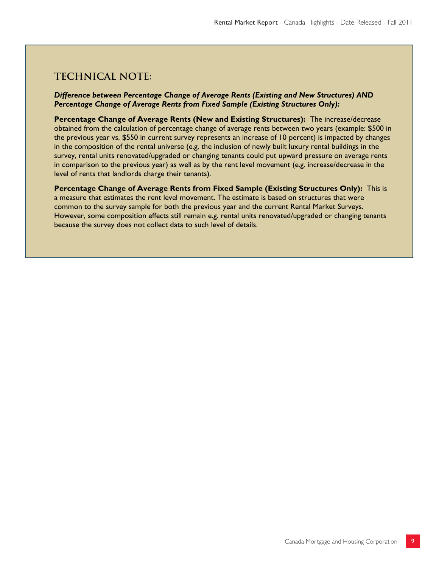## **Technical note:**

#### *Difference between Percentage Change of Average Rents (Existing and New Structures) AND Percentage Change of Average Rents from Fixed Sample (Existing Structures Only):*

**Percentage Change of Average Rents (New and Existing Structures):** The increase/decrease obtained from the calculation of percentage change of average rents between two years (example: \$500 in the previous year vs. \$550 in current survey represents an increase of 10 percent) is impacted by changes in the composition of the rental universe (e.g. the inclusion of newly built luxury rental buildings in the survey, rental units renovated/upgraded or changing tenants could put upward pressure on average rents in comparison to the previous year) as well as by the rent level movement (e.g. increase/decrease in the level of rents that landlords charge their tenants).

**Percentage Change of Average Rents from Fixed Sample (Existing Structures Only):** This is a measure that estimates the rent level movement. The estimate is based on structures that were common to the survey sample for both the previous year and the current Rental Market Surveys. However, some composition effects still remain e.g. rental units renovated/upgraded or changing tenants because the survey does not collect data to such level of details.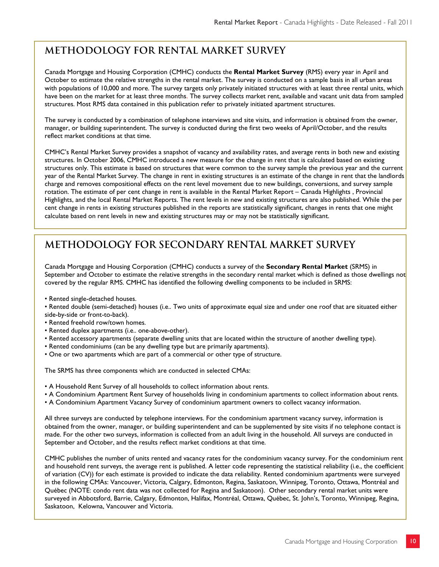## **METHODOLOGY FOR RENTAL MARKET SURVEY**

Canada Mortgage and Housing Corporation (CMHC) conducts the **Rental Market Survey** (RMS) every year in April and October to estimate the relative strengths in the rental market. The survey is conducted on a sample basis in all urban areas with populations of 10,000 and more. The survey targets only privately initiated structures with at least three rental units, which have been on the market for at least three months. The survey collects market rent, available and vacant unit data from sampled structures. Most RMS data contained in this publication refer to privately initiated apartment structures.

The survey is conducted by a combination of telephone interviews and site visits, and information is obtained from the owner, manager, or building superintendent. The survey is conducted during the first two weeks of April/October, and the results reflect market conditions at that time.

CMHC's Rental Market Survey provides a snapshot of vacancy and availability rates, and average rents in both new and existing structures. In October 2006, CMHC introduced a new measure for the change in rent that is calculated based on existing structures only. This estimate is based on structures that were common to the survey sample the previous year and the current year of the Rental Market Survey. The change in rent in existing structures is an estimate of the change in rent that the landlords charge and removes compositional effects on the rent level movement due to new buildings, conversions, and survey sample rotation. The estimate of per cent change in rent is available in the Rental Market Report – Canada Highlights , Provincial Highlights, and the local Rental Market Reports. The rent levels in new and existing structures are also published. While the per cent change in rents in existing structures published in the reports are statistically significant, changes in rents that one might calculate based on rent levels in new and existing structures may or may not be statistically significant.

## **METHODOLOGY FOR SECONDARY RENTAL MARKET SURVEY**

Canada Mortgage and Housing Corporation (CMHC) conducts a survey of the **Secondary Rental Market** (SRMS) in September and October to estimate the relative strengths in the secondary rental market which is defined as those dwellings not covered by the regular RMS. CMHC has identified the following dwelling components to be included in SRMS:

- Rented single-detached houses.
- Rented double (semi-detached) houses (i.e.. Two units of approximate equal size and under one roof that are situated either side-by-side or front-to-back).
- Rented freehold row/town homes.
- Rented duplex apartments (i.e.. one-above-other).
- Rented accessory apartments (separate dwelling units that are located within the structure of another dwelling type).
- Rented condominiums (can be any dwelling type but are primarily apartments).
- One or two apartments which are part of a commercial or other type of structure.

The SRMS has three components which are conducted in selected CMAs:

- A Household Rent Survey of all households to collect information about rents.
- A Condominium Apartment Rent Survey of households living in condominium apartments to collect information about rents.
- A Condominium Apartment Vacancy Survey of condominium apartment owners to collect vacancy information.

All three surveys are conducted by telephone interviews. For the condominium apartment vacancy survey, information is obtained from the owner, manager, or building superintendent and can be supplemented by site visits if no telephone contact is made. For the other two surveys, information is collected from an adult living in the household. All surveys are conducted in September and October, and the results reflect market conditions at that time.

CMHC publishes the number of units rented and vacancy rates for the condominium vacancy survey. For the condominium rent and household rent surveys, the average rent is published. A letter code representing the statistical reliability (i.e., the coefficient of variation (CV)) for each estimate is provided to indicate the data reliability. Rented condominium apartments were surveyed in the following CMAs: Vancouver, Victoria, Calgary, Edmonton, Regina, Saskatoon, Winnipeg, Toronto, Ottawa, Montréal and Québec (NOTE: condo rent data was not collected for Regina and Saskatoon). Other secondary rental market units were surveyed in Abbotsford, Barrie, Calgary, Edmonton, Halifax, Montréal, Ottawa, Québec, St. John's, Toronto, Winnipeg, Regina, Saskatoon, Kelowna, Vancouver and Victoria.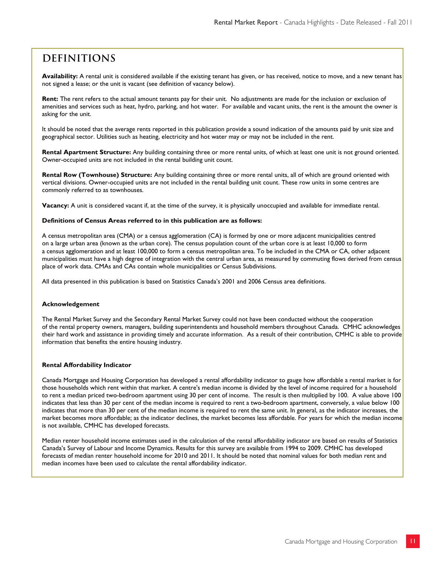## **Definitions**

Availability: A rental unit is considered available if the existing tenant has given, or has received, notice to move, and a new tenant has not signed a lease; or the unit is vacant (see definition of vacancy below).

**Rent:** The rent refers to the actual amount tenants pay for their unit. No adjustments are made for the inclusion or exclusion of amenities and services such as heat, hydro, parking, and hot water. For available and vacant units, the rent is the amount the owner is asking for the unit.

It should be noted that the average rents reported in this publication provide a sound indication of the amounts paid by unit size and geographical sector. Utilities such as heating, electricity and hot water may or may not be included in the rent.

**Rental Apartment Structure:** Any building containing three or more rental units, of which at least one unit is not ground oriented. Owner-occupied units are not included in the rental building unit count.

**Rental Row (Townhouse) Structure:** Any building containing three or more rental units, all of which are ground oriented with vertical divisions. Owner-occupied units are not included in the rental building unit count. These row units in some centres are commonly referred to as townhouses.

**Vacancy:** A unit is considered vacant if, at the time of the survey, it is physically unoccupied and available for immediate rental.

#### **Definitions of Census Areas referred to in this publication are as follows:**

A census metropolitan area (CMA) or a census agglomeration (CA) is formed by one or more adjacent municipalities centred on a large urban area (known as the urban core). The census population count of the urban core is at least 10,000 to form a census agglomeration and at least 100,000 to form a census metropolitan area. To be included in the CMA or CA, other adjacent municipalities must have a high degree of integration with the central urban area, as measured by commuting flows derived from census place of work data. CMAs and CAs contain whole municipalities or Census Subdivisions.

All data presented in this publication is based on Statistics Canada's 2001 and 2006 Census area definitions.

#### **Acknowledgement**

The Rental Market Survey and the Secondary Rental Market Survey could not have been conducted without the cooperation of the rental property owners, managers, building superintendents and household members throughout Canada. CMHC acknowledges their hard work and assistance in providing timely and accurate information. As a result of their contribution, CMHC is able to provide information that benefits the entire housing industry.

#### **Rental Affordability Indicator**

Canada Mortgage and Housing Corporation has developed a rental affordability indicator to gauge how affordable a rental market is for those households which rent within that market. A centre's median income is divided by the level of income required for a household to rent a median priced two-bedroom apartment using 30 per cent of income. The result is then multiplied by 100. A value above 100 indicates that less than 30 per cent of the median income is required to rent a two-bedroom apartment, conversely, a value below 100 indicates that more than 30 per cent of the median income is required to rent the same unit. In general, as the indicator increases, the market becomes more affordable; as the indicator declines, the market becomes less affordable. For years for which the median income is not available, CMHC has developed forecasts.

Median renter household income estimates used in the calculation of the rental affordability indicator are based on results of Statistics Canada's Survey of Labour and Income Dynamics. Results for this survey are available from 1994 to 2009. CMHC has developed forecasts of median renter household income for 2010 and 2011. It should be noted that nominal values for both median rent and median incomes have been used to calculate the rental affordability indicator.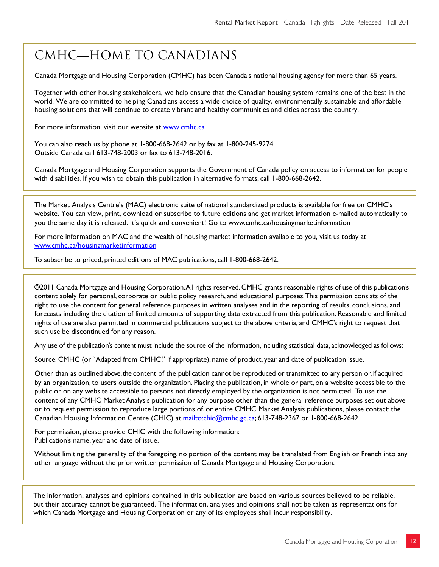## CMHC—Home to Canadians

Canada Mortgage and Housing Corporation (CMHC) has been Canada's national housing agency for more than 65 years.

Together with other housing stakeholders, we help ensure that the Canadian housing system remains one of the best in the world. We are committed to helping Canadians access a wide choice of quality, environmentally sustainable and affordable housing solutions that will continue to create vibrant and healthy communities and cities across the country.

For more information, visit our website at www.cmhc.ca

You can also reach us by phone at 1-800-668-2642 or by fax at 1-800-245-9274. Outside Canada call 613-748-2003 or fax to 613-748-2016.

Canada Mortgage and Housing Corporation supports the Government of Canada policy on access to information for people with disabilities. If you wish to obtain this publication in alternative formats, call 1-800-668-2642.

The Market Analysis Centre's (MAC) electronic suite of national standardized products is available for free on CMHC's website. You can view, print, download or subscribe to future editions and get market information e-mailed automatically to you the same day it is released. It's quick and convenient! Go to www.cmhc.ca/housingmarketinformation

For more information on MAC and the wealth of housing market information available to you, visit us today at www.cmhc.ca/housingmarketinformation

To subscribe to priced, printed editions of MAC publications, call 1-800-668-2642.

©2011 Canada Mortgage and Housing Corporation. All rights reserved. CMHC grants reasonable rights of use of this publication's content solely for personal, corporate or public policy research, and educational purposes. This permission consists of the right to use the content for general reference purposes in written analyses and in the reporting of results, conclusions, and forecasts including the citation of limited amounts of supporting data extracted from this publication. Reasonable and limited rights of use are also permitted in commercial publications subject to the above criteria, and CMHC's right to request that such use be discontinued for any reason.

Any use of the publication's content must include the source of the information, including statistical data, acknowledged as follows:

Source: CMHC (or "Adapted from CMHC," if appropriate), name of product, year and date of publication issue.

Other than as outlined above, the content of the publication cannot be reproduced or transmitted to any person or, if acquired by an organization, to users outside the organization. Placing the publication, in whole or part, on a website accessible to the public or on any website accessible to persons not directly employed by the organization is not permitted. To use the content of any CMHC Market Analysis publication for any purpose other than the general reference purposes set out above or to request permission to reproduce large portions of, or entire CMHC Market Analysis publications, please contact: the Canadian Housing Information Centre (CHIC) at mailto:chic@cmhc.gc.ca; 613-748-2367 or 1-800-668-2642.

For permission, please provide CHIC with the following information: Publication's name, year and date of issue.

Without limiting the generality of the foregoing, no portion of the content may be translated from English or French into any other language without the prior written permission of Canada Mortgage and Housing Corporation.

The information, analyses and opinions contained in this publication are based on various sources believed to be reliable, but their accuracy cannot be guaranteed. The information, analyses and opinions shall not be taken as representations for which Canada Mortgage and Housing Corporation or any of its employees shall incur responsibility.